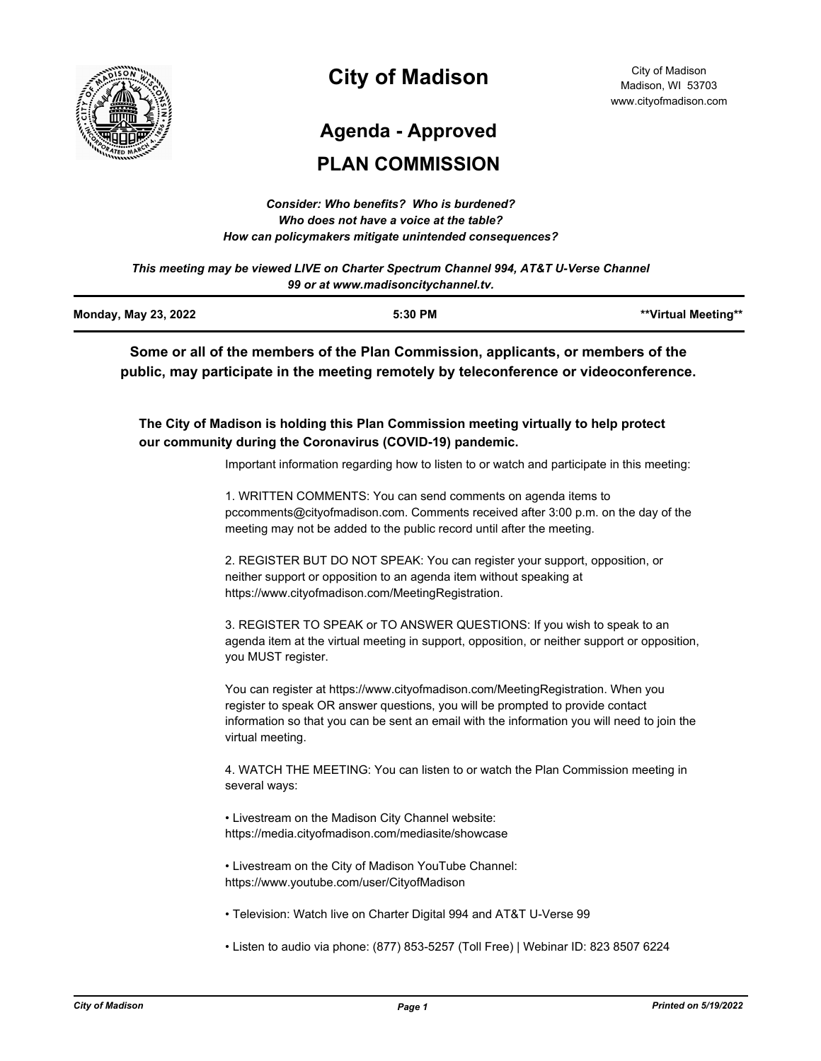

# **City of Madison**

# **Agenda - Approved**

# **PLAN COMMISSION**

| Consider: Who benefits? Who is burdened?               |
|--------------------------------------------------------|
| Who does not have a voice at the table?                |
| How can policymakers mitigate unintended consequences? |

*This meeting may be viewed LIVE on Charter Spectrum Channel 994, AT&T U-Verse Channel 99 or at www.madisoncitychannel.tv.*

| <b>Monday, May 23, 2022</b> | 5:30 PM | **Virtual Meeting** |
|-----------------------------|---------|---------------------|
|                             |         |                     |

**Some or all of the members of the Plan Commission, applicants, or members of the public, may participate in the meeting remotely by teleconference or videoconference.**

**The City of Madison is holding this Plan Commission meeting virtually to help protect our community during the Coronavirus (COVID-19) pandemic.**

Important information regarding how to listen to or watch and participate in this meeting:

1. WRITTEN COMMENTS: You can send comments on agenda items to pccomments@cityofmadison.com. Comments received after 3:00 p.m. on the day of the meeting may not be added to the public record until after the meeting.

2. REGISTER BUT DO NOT SPEAK: You can register your support, opposition, or neither support or opposition to an agenda item without speaking at https://www.cityofmadison.com/MeetingRegistration.

3. REGISTER TO SPEAK or TO ANSWER QUESTIONS: If you wish to speak to an agenda item at the virtual meeting in support, opposition, or neither support or opposition, you MUST register.

You can register at https://www.cityofmadison.com/MeetingRegistration. When you register to speak OR answer questions, you will be prompted to provide contact information so that you can be sent an email with the information you will need to join the virtual meeting.

4. WATCH THE MEETING: You can listen to or watch the Plan Commission meeting in several ways:

• Livestream on the Madison City Channel website: https://media.cityofmadison.com/mediasite/showcase

• Livestream on the City of Madison YouTube Channel: https://www.youtube.com/user/CityofMadison

- Television: Watch live on Charter Digital 994 and AT&T U-Verse 99
- Listen to audio via phone: (877) 853-5257 (Toll Free) | Webinar ID: 823 8507 6224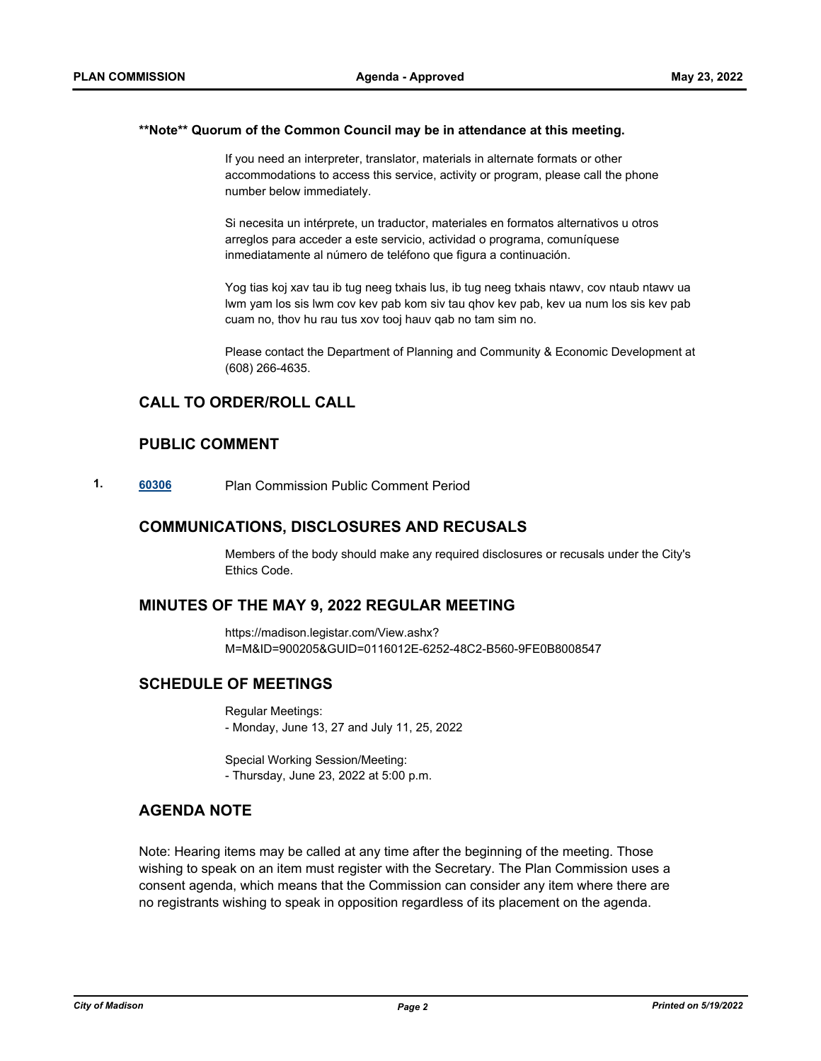#### **\*\*Note\*\* Quorum of the Common Council may be in attendance at this meeting.**

If you need an interpreter, translator, materials in alternate formats or other accommodations to access this service, activity or program, please call the phone number below immediately.

Si necesita un intérprete, un traductor, materiales en formatos alternativos u otros arreglos para acceder a este servicio, actividad o programa, comuníquese inmediatamente al número de teléfono que figura a continuación.

Yog tias koj xav tau ib tug neeg txhais lus, ib tug neeg txhais ntawv, cov ntaub ntawv ua lwm yam los sis lwm cov kev pab kom siv tau qhov kev pab, kev ua num los sis kev pab cuam no, thov hu rau tus xov tooj hauv qab no tam sim no.

Please contact the Department of Planning and Community & Economic Development at (608) 266-4635.

# **CALL TO ORDER/ROLL CALL**

# **PUBLIC COMMENT**

**1. [60306](http://madison.legistar.com/gateway.aspx?m=l&id=/matter.aspx?key=71173)** Plan Commission Public Comment Period

## **COMMUNICATIONS, DISCLOSURES AND RECUSALS**

Members of the body should make any required disclosures or recusals under the City's Ethics Code.

### **MINUTES OF THE MAY 9, 2022 REGULAR MEETING**

https://madison.legistar.com/View.ashx? M=M&ID=900205&GUID=0116012E-6252-48C2-B560-9FE0B8008547

# **SCHEDULE OF MEETINGS**

Regular Meetings: - Monday, June 13, 27 and July 11, 25, 2022

Special Working Session/Meeting: - Thursday, June 23, 2022 at 5:00 p.m.

# **AGENDA NOTE**

Note: Hearing items may be called at any time after the beginning of the meeting. Those wishing to speak on an item must register with the Secretary. The Plan Commission uses a consent agenda, which means that the Commission can consider any item where there are no registrants wishing to speak in opposition regardless of its placement on the agenda.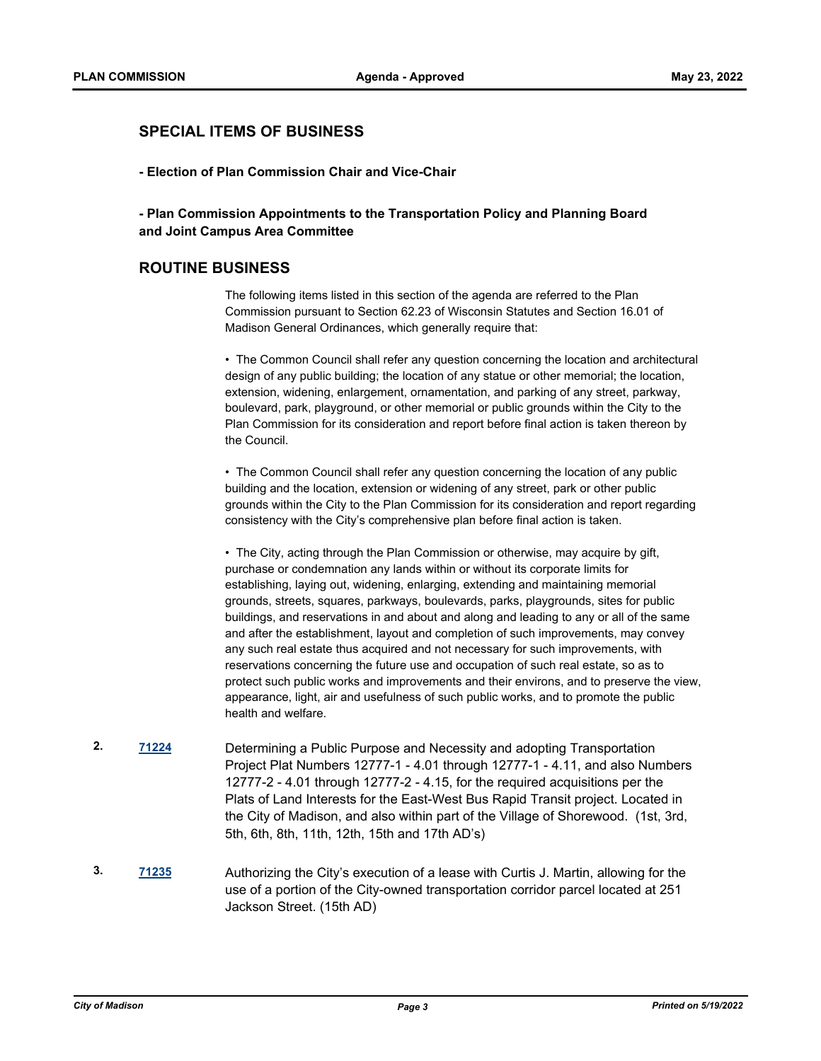# **SPECIAL ITEMS OF BUSINESS**

**- Election of Plan Commission Chair and Vice-Chair**

## **- Plan Commission Appointments to the Transportation Policy and Planning Board and Joint Campus Area Committee**

## **ROUTINE BUSINESS**

The following items listed in this section of the agenda are referred to the Plan Commission pursuant to Section 62.23 of Wisconsin Statutes and Section 16.01 of Madison General Ordinances, which generally require that:

• The Common Council shall refer any question concerning the location and architectural design of any public building; the location of any statue or other memorial; the location, extension, widening, enlargement, ornamentation, and parking of any street, parkway, boulevard, park, playground, or other memorial or public grounds within the City to the Plan Commission for its consideration and report before final action is taken thereon by the Council.

• The Common Council shall refer any question concerning the location of any public building and the location, extension or widening of any street, park or other public grounds within the City to the Plan Commission for its consideration and report regarding consistency with the City's comprehensive plan before final action is taken.

• The City, acting through the Plan Commission or otherwise, may acquire by gift, purchase or condemnation any lands within or without its corporate limits for establishing, laying out, widening, enlarging, extending and maintaining memorial grounds, streets, squares, parkways, boulevards, parks, playgrounds, sites for public buildings, and reservations in and about and along and leading to any or all of the same and after the establishment, layout and completion of such improvements, may convey any such real estate thus acquired and not necessary for such improvements, with reservations concerning the future use and occupation of such real estate, so as to protect such public works and improvements and their environs, and to preserve the view, appearance, light, air and usefulness of such public works, and to promote the public health and welfare.

- **2. [71224](http://madison.legistar.com/gateway.aspx?m=l&id=/matter.aspx?key=83165)** Determining a Public Purpose and Necessity and adopting Transportation Project Plat Numbers 12777-1 - 4.01 through 12777-1 - 4.11, and also Numbers 12777-2 - 4.01 through 12777-2 - 4.15, for the required acquisitions per the Plats of Land Interests for the East-West Bus Rapid Transit project. Located in the City of Madison, and also within part of the Village of Shorewood. (1st, 3rd, 5th, 6th, 8th, 11th, 12th, 15th and 17th AD's)
- **3. [71235](http://madison.legistar.com/gateway.aspx?m=l&id=/matter.aspx?key=83176)** Authorizing the City's execution of a lease with Curtis J. Martin, allowing for the use of a portion of the City-owned transportation corridor parcel located at 251 Jackson Street. (15th AD)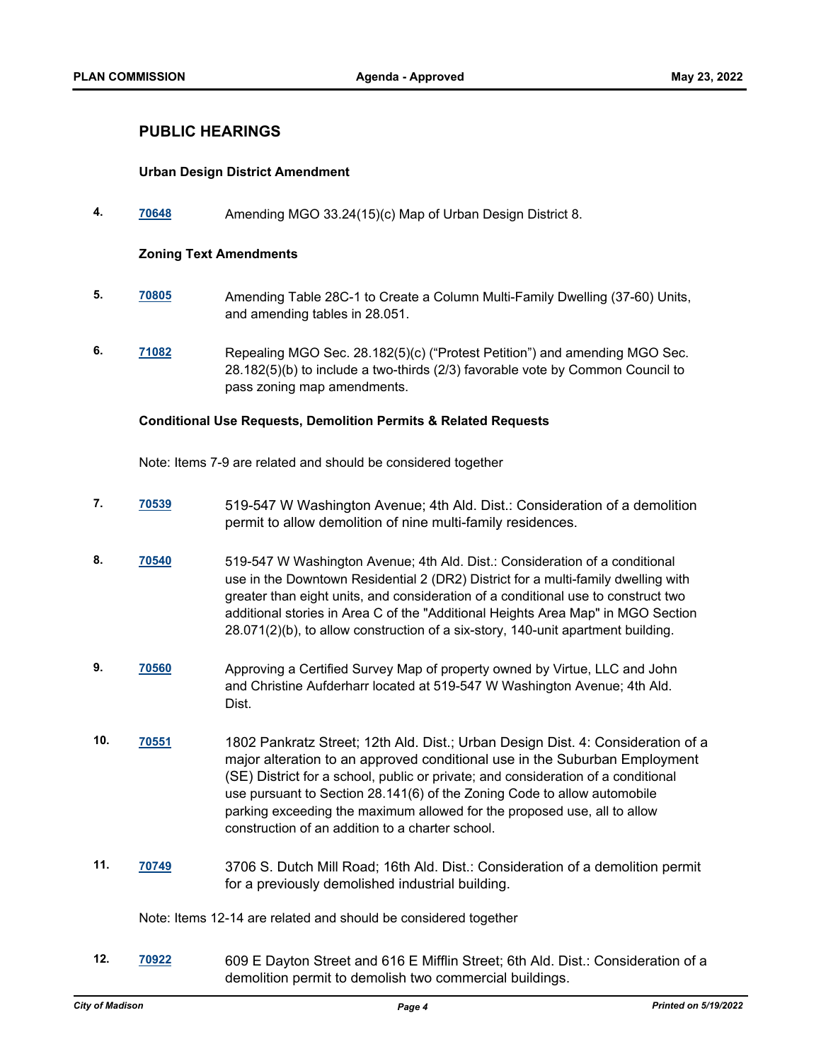## **PUBLIC HEARINGS**

## **Urban Design District Amendment**

**4. [70648](http://madison.legistar.com/gateway.aspx?m=l&id=/matter.aspx?key=82679)** Amending MGO 33.24(15)(c) Map of Urban Design District 8.

#### **Zoning Text Amendments**

- **5. [70805](http://madison.legistar.com/gateway.aspx?m=l&id=/matter.aspx?key=82814)** Amending Table 28C-1 to Create a Column Multi-Family Dwelling (37-60) Units, and amending tables in 28.051.
- **6. [71082](http://madison.legistar.com/gateway.aspx?m=l&id=/matter.aspx?key=83039)** Repealing MGO Sec. 28.182(5)(c) ("Protest Petition") and amending MGO Sec. 28.182(5)(b) to include a two-thirds (2/3) favorable vote by Common Council to pass zoning map amendments.

#### **Conditional Use Requests, Demolition Permits & Related Requests**

Note: Items 7-9 are related and should be considered together

- **7. [70539](http://madison.legistar.com/gateway.aspx?m=l&id=/matter.aspx?key=82585)** 519-547 W Washington Avenue; 4th Ald. Dist.: Consideration of a demolition permit to allow demolition of nine multi-family residences.
- **8. [70540](http://madison.legistar.com/gateway.aspx?m=l&id=/matter.aspx?key=82586)** 519-547 W Washington Avenue; 4th Ald. Dist.: Consideration of a conditional use in the Downtown Residential 2 (DR2) District for a multi-family dwelling with greater than eight units, and consideration of a conditional use to construct two additional stories in Area C of the "Additional Heights Area Map" in MGO Section 28.071(2)(b), to allow construction of a six-story, 140-unit apartment building.
- **9. [70560](http://madison.legistar.com/gateway.aspx?m=l&id=/matter.aspx?key=82599)** Approving a Certified Survey Map of property owned by Virtue, LLC and John and Christine Aufderharr located at 519-547 W Washington Avenue; 4th Ald. Dist.
- **10. [70551](http://madison.legistar.com/gateway.aspx?m=l&id=/matter.aspx?key=82590)** 1802 Pankratz Street; 12th Ald. Dist.; Urban Design Dist. 4: Consideration of a major alteration to an approved conditional use in the Suburban Employment (SE) District for a school, public or private; and consideration of a conditional use pursuant to Section 28.141(6) of the Zoning Code to allow automobile parking exceeding the maximum allowed for the proposed use, all to allow construction of an addition to a charter school.
- **11. [70749](http://madison.legistar.com/gateway.aspx?m=l&id=/matter.aspx?key=82763)** 3706 S. Dutch Mill Road; 16th Ald. Dist.: Consideration of a demolition permit for a previously demolished industrial building.

Note: Items 12-14 are related and should be considered together

**12. [70922](http://madison.legistar.com/gateway.aspx?m=l&id=/matter.aspx?key=82910)** 609 E Dayton Street and 616 E Mifflin Street; 6th Ald. Dist.: Consideration of a demolition permit to demolish two commercial buildings.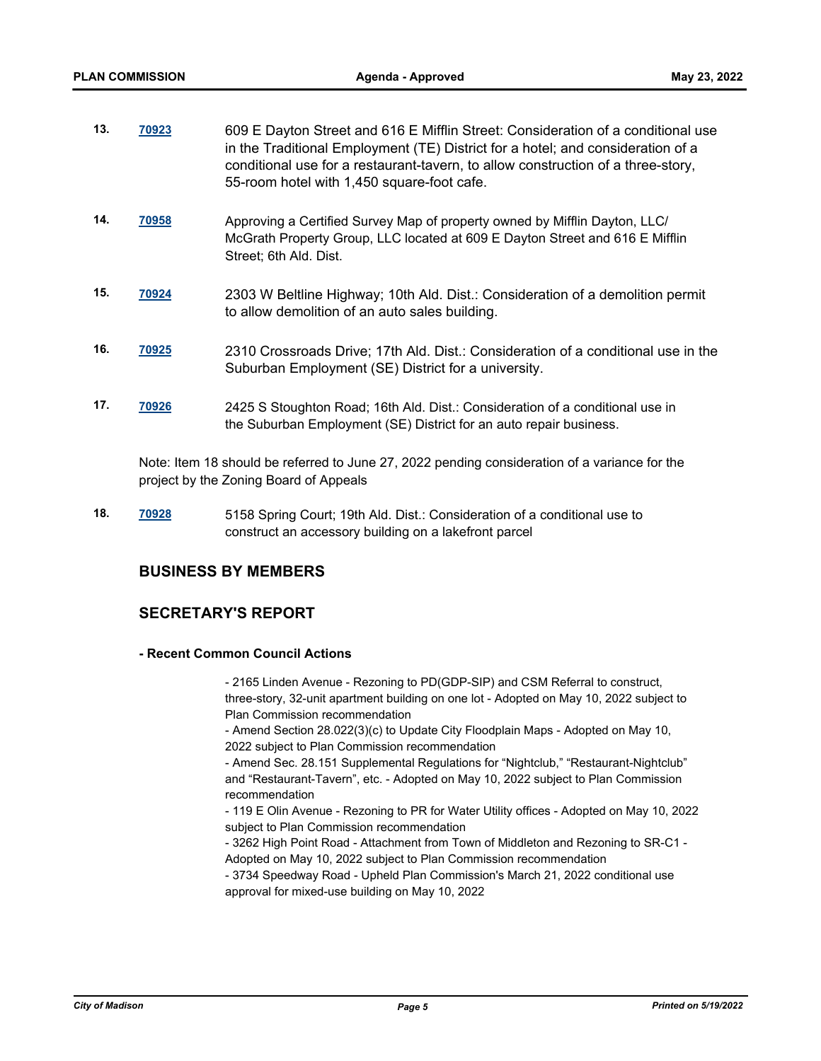| <u>70923</u> | 609 E Dayton Street and 616 E Mifflin Street: Consideration of a conditional use |
|--------------|----------------------------------------------------------------------------------|
|              | in the Traditional Employment (TE) District for a hotel; and consideration of a  |
|              | conditional use for a restaurant-tavern, to allow construction of a three-story, |
|              | 55-room hotel with 1,450 square-foot cafe.                                       |
|              |                                                                                  |

- **14. [70958](http://madison.legistar.com/gateway.aspx?m=l&id=/matter.aspx?key=82941)** Approving a Certified Survey Map of property owned by Mifflin Dayton, LLC/ McGrath Property Group, LLC located at 609 E Dayton Street and 616 E Mifflin Street; 6th Ald. Dist.
- **15. [70924](http://madison.legistar.com/gateway.aspx?m=l&id=/matter.aspx?key=82912)** 2303 W Beltline Highway; 10th Ald. Dist.: Consideration of a demolition permit to allow demolition of an auto sales building.
- **16. [70925](http://madison.legistar.com/gateway.aspx?m=l&id=/matter.aspx?key=82913)** 2310 Crossroads Drive; 17th Ald. Dist.: Consideration of a conditional use in the Suburban Employment (SE) District for a university.
- **17. [70926](http://madison.legistar.com/gateway.aspx?m=l&id=/matter.aspx?key=82914)** 2425 S Stoughton Road; 16th Ald. Dist.: Consideration of a conditional use in the Suburban Employment (SE) District for an auto repair business.

Note: Item 18 should be referred to June 27, 2022 pending consideration of a variance for the project by the Zoning Board of Appeals

**18. [70928](http://madison.legistar.com/gateway.aspx?m=l&id=/matter.aspx?key=82916)** 5158 Spring Court; 19th Ald. Dist.: Consideration of a conditional use to construct an accessory building on a lakefront parcel

# **BUSINESS BY MEMBERS**

# **SECRETARY'S REPORT**

#### **- Recent Common Council Actions**

- 2165 Linden Avenue - Rezoning to PD(GDP-SIP) and CSM Referral to construct, three-story, 32-unit apartment building on one lot - Adopted on May 10, 2022 subject to Plan Commission recommendation

- Amend Section 28.022(3)(c) to Update City Floodplain Maps - Adopted on May 10, 2022 subject to Plan Commission recommendation

- Amend Sec. 28.151 Supplemental Regulations for "Nightclub," "Restaurant-Nightclub" and "Restaurant-Tavern", etc. - Adopted on May 10, 2022 subject to Plan Commission recommendation

- 119 E Olin Avenue - Rezoning to PR for Water Utility offices - Adopted on May 10, 2022 subject to Plan Commission recommendation

- 3262 High Point Road - Attachment from Town of Middleton and Rezoning to SR-C1 - Adopted on May 10, 2022 subject to Plan Commission recommendation

- 3734 Speedway Road - Upheld Plan Commission's March 21, 2022 conditional use approval for mixed-use building on May 10, 2022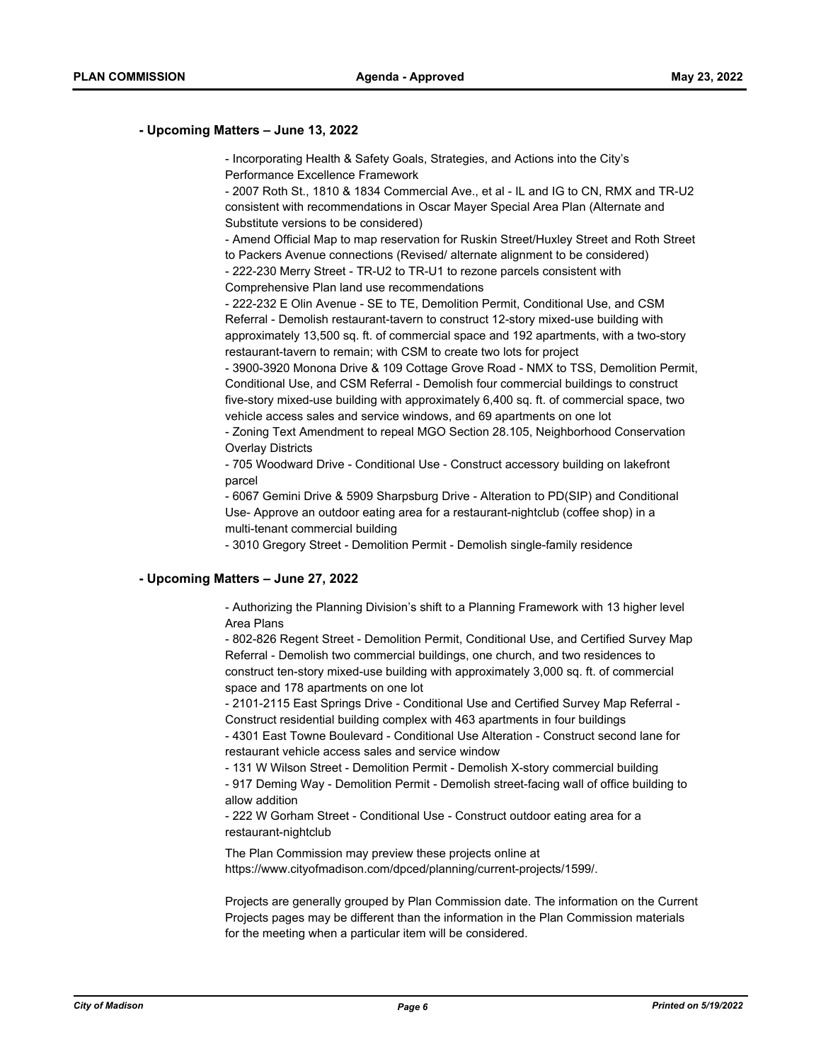#### **- Upcoming Matters – June 13, 2022**

- Incorporating Health & Safety Goals, Strategies, and Actions into the City's Performance Excellence Framework

- 2007 Roth St., 1810 & 1834 Commercial Ave., et al - IL and IG to CN, RMX and TR-U2 consistent with recommendations in Oscar Mayer Special Area Plan (Alternate and Substitute versions to be considered)

- Amend Official Map to map reservation for Ruskin Street/Huxley Street and Roth Street to Packers Avenue connections (Revised/ alternate alignment to be considered) - 222-230 Merry Street - TR-U2 to TR-U1 to rezone parcels consistent with

Comprehensive Plan land use recommendations

- 222-232 E Olin Avenue - SE to TE, Demolition Permit, Conditional Use, and CSM Referral - Demolish restaurant-tavern to construct 12-story mixed-use building with approximately 13,500 sq. ft. of commercial space and 192 apartments, with a two-story restaurant-tavern to remain; with CSM to create two lots for project

- 3900-3920 Monona Drive & 109 Cottage Grove Road - NMX to TSS, Demolition Permit, Conditional Use, and CSM Referral - Demolish four commercial buildings to construct five-story mixed-use building with approximately 6,400 sq. ft. of commercial space, two vehicle access sales and service windows, and 69 apartments on one lot

- Zoning Text Amendment to repeal MGO Section 28.105, Neighborhood Conservation Overlay Districts

- 705 Woodward Drive - Conditional Use - Construct accessory building on lakefront parcel

- 6067 Gemini Drive & 5909 Sharpsburg Drive - Alteration to PD(SIP) and Conditional Use- Approve an outdoor eating area for a restaurant-nightclub (coffee shop) in a multi-tenant commercial building

- 3010 Gregory Street - Demolition Permit - Demolish single-family residence

#### **- Upcoming Matters – June 27, 2022**

- Authorizing the Planning Division's shift to a Planning Framework with 13 higher level Area Plans

- 802-826 Regent Street - Demolition Permit, Conditional Use, and Certified Survey Map Referral - Demolish two commercial buildings, one church, and two residences to construct ten-story mixed-use building with approximately 3,000 sq. ft. of commercial space and 178 apartments on one lot

- 2101-2115 East Springs Drive - Conditional Use and Certified Survey Map Referral - Construct residential building complex with 463 apartments in four buildings

- 4301 East Towne Boulevard - Conditional Use Alteration - Construct second lane for restaurant vehicle access sales and service window

- 131 W Wilson Street - Demolition Permit - Demolish X-story commercial building

- 917 Deming Way - Demolition Permit - Demolish street-facing wall of office building to allow addition

- 222 W Gorham Street - Conditional Use - Construct outdoor eating area for a restaurant-nightclub

The Plan Commission may preview these projects online at https://www.cityofmadison.com/dpced/planning/current-projects/1599/.

Projects are generally grouped by Plan Commission date. The information on the Current Projects pages may be different than the information in the Plan Commission materials for the meeting when a particular item will be considered.